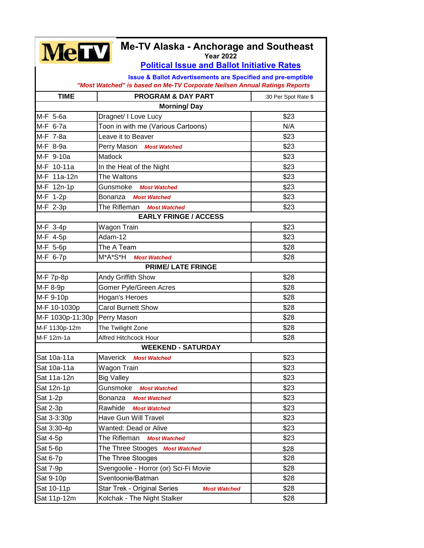| <b>Me-TV Alaska - Anchorage and Southeast</b><br><b>MeTV</b><br><b>Year 2022</b>                                                                     |                                                    |                      |  |
|------------------------------------------------------------------------------------------------------------------------------------------------------|----------------------------------------------------|----------------------|--|
| <b>Political Issue and Ballot Initiative Rates</b>                                                                                                   |                                                    |                      |  |
| <b>Issue &amp; Ballot Advertisements are Specified and pre-emptible</b><br>"Most Watched" is based on Me-TV Corporate Neilsen Annual Ratings Reports |                                                    |                      |  |
| <b>TIME</b>                                                                                                                                          | <b>PROGRAM &amp; DAY PART</b>                      | :30 Per Spot Rate \$ |  |
| <b>Morning/Day</b>                                                                                                                                   |                                                    |                      |  |
| M-F 5-6a                                                                                                                                             | Dragnet/ I Love Lucy                               | \$23                 |  |
| M-F 6-7a                                                                                                                                             | Toon in with me (Various Cartoons)                 | N/A                  |  |
| M-F 7-8a                                                                                                                                             | Leave it to Beaver                                 | \$23                 |  |
| M-F 8-9a                                                                                                                                             | Perry Mason Most Watched                           | \$23                 |  |
| M-F 9-10a                                                                                                                                            | Matlock                                            | \$23                 |  |
| M-F 10-11a                                                                                                                                           | In the Heat of the Night                           | \$23                 |  |
| M-F 11a-12n                                                                                                                                          | The Waltons                                        | \$23                 |  |
| M-F 12n-1p                                                                                                                                           | Gunsmoke<br><b>Most Watched</b>                    | \$23                 |  |
| M-F 1-2p                                                                                                                                             | Bonanza<br><b>Most Watched</b>                     | \$23                 |  |
| M-F 2-3p                                                                                                                                             | The Rifleman<br><b>Most Watched</b>                | \$23                 |  |
| <b>EARLY FRINGE / ACCESS</b>                                                                                                                         |                                                    |                      |  |
| M-F 3-4p                                                                                                                                             | Wagon Train                                        | \$23                 |  |
| M-F 4-5p                                                                                                                                             | Adam-12                                            | \$23                 |  |
| M-F 5-6p                                                                                                                                             | The A Team                                         | \$28                 |  |
| M-F 6-7p                                                                                                                                             | M*A*S*H<br><b>Most Watched</b>                     | \$28                 |  |
| <b>PRIME/ LATE FRINGE</b>                                                                                                                            |                                                    |                      |  |
| M-F 7p-8p                                                                                                                                            | Andy Griffith Show                                 | \$28                 |  |
| M-F 8-9p                                                                                                                                             | Gomer Pyle/Green Acres                             | \$28                 |  |
| M-F 9-10p                                                                                                                                            | Hogan's Heroes                                     | \$28                 |  |
| M-F 10-1030p                                                                                                                                         | <b>Carol Burnett Show</b>                          | \$28                 |  |
| M-F 1030p-11:30p                                                                                                                                     | Perry Mason                                        | \$28                 |  |
| M-F 1130p-12m                                                                                                                                        | The Twilight Zone                                  | \$28                 |  |
| M-F 12m-1a                                                                                                                                           | Alfred Hitchcock Hour                              | \$28                 |  |
| <b>WEEKEND - SATURDAY</b>                                                                                                                            |                                                    |                      |  |
| Sat 10a-11a                                                                                                                                          | Maverick<br><b>Most Watched</b>                    | \$23                 |  |
| Sat 10a-11a                                                                                                                                          | Wagon Train                                        | \$23                 |  |
| Sat 11a-12n                                                                                                                                          | <b>Big Valley</b>                                  | \$23                 |  |
| Sat 12n-1p                                                                                                                                           | Gunsmoke<br><b>Most Watched</b>                    | \$23                 |  |
| Sat 1-2p                                                                                                                                             | Bonanza<br><b>Most Watched</b>                     | \$23                 |  |
| Sat 2-3p                                                                                                                                             | Rawhide<br><b>Most Watched</b>                     | \$23                 |  |
| Sat 3-3:30p                                                                                                                                          | Have Gun Will Travel                               | \$23                 |  |
| Sat 3:30-4p                                                                                                                                          | Wanted: Dead or Alive                              | \$23                 |  |
|                                                                                                                                                      | The Rifleman                                       | \$23                 |  |
| Sat 4-5p                                                                                                                                             | <b>Most Watched</b>                                |                      |  |
| Sat 5-6p                                                                                                                                             | The Three Stooges Most Watched                     | \$28                 |  |
| Sat 6-7p                                                                                                                                             | The Three Stooges                                  | \$28                 |  |
| Sat 7-9p                                                                                                                                             | Svengoolie - Horror (or) Sci-Fi Movie              | \$28                 |  |
| Sat 9-10p                                                                                                                                            | Sventoonie/Batman                                  | \$28                 |  |
| Sat 10-11p                                                                                                                                           | Star Trek - Original Series<br><b>Most Watched</b> | \$28                 |  |
| Sat 11p-12m                                                                                                                                          | Kolchak - The Night Stalker                        | \$28                 |  |